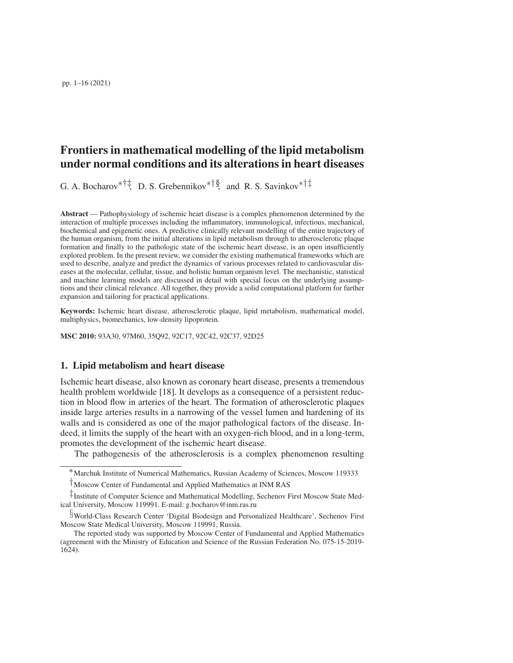pp. 1–16 (2021)

# Frontiers in mathematical modelling of the lipid metabolism under normal conditions and its alterations in heart diseases

G. A. Bocharov<sup>\*†‡</sup>, D. S. Grebennikov<sup>\*†§</sup>, and R. S. Savinkov<sup>\*†‡</sup>

Abstract — Pathophysiology of ischemic heart disease is a complex phenomenon determined by the interaction of multiple processes including the inflammatory, immunological, infectious, mechanical, biochemical and epigenetic ones. A predictive clinically relevant modelling of the entire trajectory of the human organism, from the initial alterations in lipid metabolism through to atherosclerotic plaque formation and finally to the pathologic state of the ischemic heart disease, is an open insufficiently explored problem. In the present review, we consider the existing mathematical frameworks which are used to describe, analyze and predict the dynamics of various processes related to cardiovascular diseases at the molecular, cellular, tissue, and holistic human organism level. The mechanistic, statistical and machine learning models are discussed in detail with special focus on the underlying assumptions and their clinical relevance. All together, they provide a solid computational platform for further expansion and tailoring for practical applications.

Keywords: Ischemic heart disease, atherosclerotic plaque, lipid metabolism, mathematical model, multiphysics, biomechanics, low-density lipoprotein.

MSC 2010: 93A30, 97M60, 35Q92, 92C17, 92C42, 92C37, 92D25

# 1. Lipid metabolism and heart disease

Ischemic heart disease, also known as coronary heart disease, presents a tremendous health problem worldwide [\[18\]](#page-14-0). It develops as a consequence of a persistent reduction in blood flow in arteries of the heart. The formation of atherosclerotic plaques inside large arteries results in a narrowing of the vessel lumen and hardening of its walls and is considered as one of the major pathological factors of the disease. Indeed, it limits the supply of the heart with an oxygen-rich blood, and in a long-term, promotes the development of the ischemic heart disease.

The pathogenesis of the atherosclerosis is a complex phenomenon resulting

<sup>∗</sup>Marchuk Institute of Numerical Mathematics, Russian Academy of Sciences, Moscow 119333

<sup>†</sup>Moscow Center of Fundamental and Applied Mathematics at INM RAS

<sup>‡</sup>Institute of Computer Science and Mathematical Modelling, Sechenov First Moscow State Medical University, Moscow 119991. E-mail: g.bocharov@inm.ras.ru

<sup>§</sup>World-Class Research Center 'Digital Biodesign and Personalized Healthcare', Sechenov First Moscow State Medical University, Moscow 119991, Russia.

The reported study was supported by Moscow Center of Fundamental and Applied Mathematics (agreement with the Ministry of Education and Science of the Russian Federation No. 075-15-2019- 1624).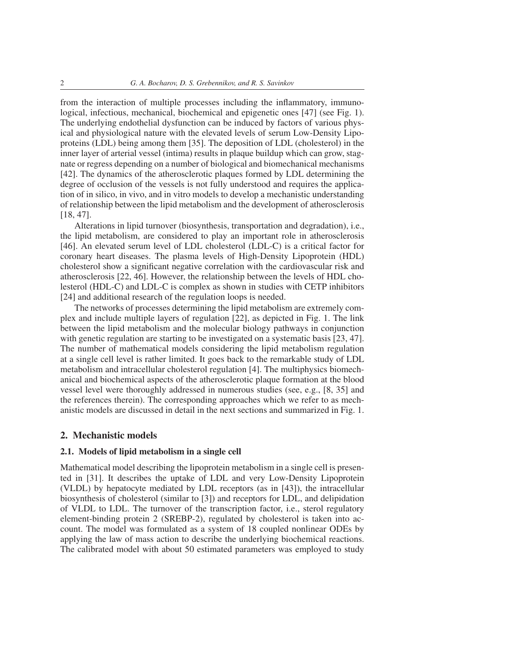from the interaction of multiple processes including the inflammatory, immunological, infectious, mechanical, biochemical and epigenetic ones [\[47\]](#page-15-0) (see Fig. [1\)](#page-2-0). The underlying endothelial dysfunction can be induced by factors of various physical and physiological nature with the elevated levels of serum Low-Density Lipoproteins (LDL) being among them [\[35\]](#page-15-1). The deposition of LDL (cholesterol) in the inner layer of arterial vessel (intima) results in plaque buildup which can grow, stagnate or regress depending on a number of biological and biomechanical mechanisms [\[42\]](#page-15-2). The dynamics of the atherosclerotic plaques formed by LDL determining the degree of occlusion of the vessels is not fully understood and requires the application of in silico, in vivo, and in vitro models to develop a mechanistic understanding of relationship between the lipid metabolism and the development of atherosclerosis [\[18,](#page-14-0) [47\]](#page-15-0).

Alterations in lipid turnover (biosynthesis, transportation and degradation), i.e., the lipid metabolism, are considered to play an important role in atherosclerosis [\[46\]](#page-15-3). An elevated serum level of LDL cholesterol (LDL-C) is a critical factor for coronary heart diseases. The plasma levels of High-Density Lipoprotein (HDL) cholesterol show a significant negative correlation with the cardiovascular risk and atherosclerosis [\[22,](#page-14-1) [46\]](#page-15-3). However, the relationship between the levels of HDL cholesterol (HDL-C) and LDL-C is complex as shown in studies with CETP inhibitors [\[24\]](#page-14-2) and additional research of the regulation loops is needed.

The networks of processes determining the lipid metabolism are extremely complex and include multiple layers of regulation [\[22\]](#page-14-1), as depicted in Fig. [1.](#page-2-0) The link between the lipid metabolism and the molecular biology pathways in conjunction with genetic regulation are starting to be investigated on a systematic basis [\[23,](#page-14-3) [47\]](#page-15-0). The number of mathematical models considering the lipid metabolism regulation at a single cell level is rather limited. It goes back to the remarkable study of LDL metabolism and intracellular cholesterol regulation [\[4\]](#page-13-0). The multiphysics biomechanical and biochemical aspects of the atherosclerotic plaque formation at the blood vessel level were thoroughly addressed in numerous studies (see, e.g., [\[8,](#page-13-1) [35\]](#page-15-1) and the references therein). The corresponding approaches which we refer to as mechanistic models are discussed in detail in the next sections and summarized in Fig. [1.](#page-2-0)

#### 2. Mechanistic models

#### 2.1. Models of lipid metabolism in a single cell

Mathematical model describing the lipoprotein metabolism in a single cell is presented in [\[31\]](#page-14-4). It describes the uptake of LDL and very Low-Density Lipoprotein (VLDL) by hepatocyte mediated by LDL receptors (as in [\[43\]](#page-15-4)), the intracellular biosynthesis of cholesterol (similar to [\[3\]](#page-13-2)) and receptors for LDL, and delipidation of VLDL to LDL. The turnover of the transcription factor, i.e., sterol regulatory element-binding protein 2 (SREBP-2), regulated by cholesterol is taken into account. The model was formulated as a system of 18 coupled nonlinear ODEs by applying the law of mass action to describe the underlying biochemical reactions. The calibrated model with about 50 estimated parameters was employed to study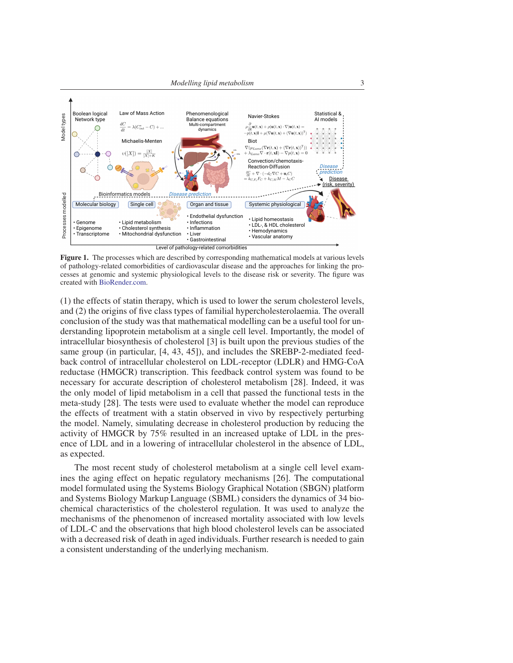

<span id="page-2-0"></span>Figure 1. The processes which are described by corresponding mathematical models at various levels of pathology-related comorbidities of cardiovascular disease and the approaches for linking the processes at genomic and systemic physiological levels to the disease risk or severity. The figure was created with [BioRender.com.](https://biorender.com)

(1) the effects of statin therapy, which is used to lower the serum cholesterol levels, and (2) the origins of five class types of familial hypercholesterolaemia. The overall conclusion of the study was that mathematical modelling can be a useful tool for understanding lipoprotein metabolism at a single cell level. Importantly, the model of intracellular biosynthesis of cholesterol [\[3\]](#page-13-2) is built upon the previous studies of the same group (in particular, [\[4,](#page-13-0) [43,](#page-15-4) [45\]](#page-15-5)), and includes the SREBP-2-mediated feedback control of intracellular cholesterol on LDL-receptor (LDLR) and HMG-CoA reductase (HMGCR) transcription. This feedback control system was found to be necessary for accurate description of cholesterol metabolism [\[28\]](#page-14-5). Indeed, it was the only model of lipid metabolism in a cell that passed the functional tests in the meta-study [\[28\]](#page-14-5). The tests were used to evaluate whether the model can reproduce the effects of treatment with a statin observed in vivo by respectively perturbing the model. Namely, simulating decrease in cholesterol production by reducing the activity of HMGCR by 75% resulted in an increased uptake of LDL in the presence of LDL and in a lowering of intracellular cholesterol in the absence of LDL, as expected.

The most recent study of cholesterol metabolism at a single cell level examines the aging effect on hepatic regulatory mechanisms [\[26\]](#page-14-6). The computational model formulated using the Systems Biology Graphical Notation (SBGN) platform and Systems Biology Markup Language (SBML) considers the dynamics of 34 biochemical characteristics of the cholesterol regulation. It was used to analyze the mechanisms of the phenomenon of increased mortality associated with low levels of LDL-C and the observations that high blood cholesterol levels can be associated with a decreased risk of death in aged individuals. Further research is needed to gain a consistent understanding of the underlying mechanism.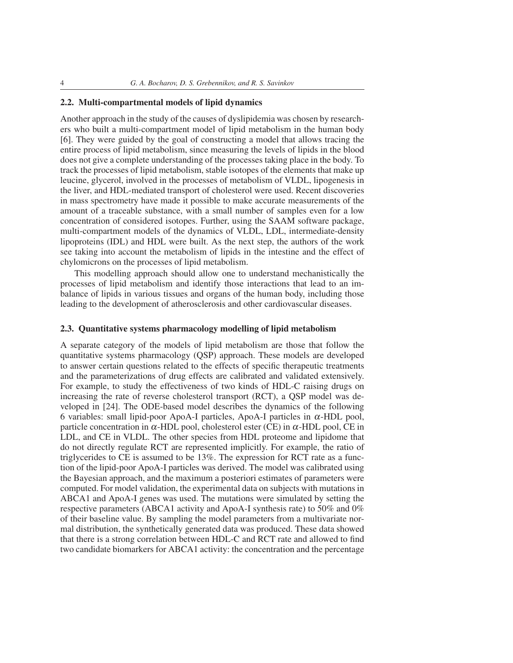## 2.2. Multi-compartmental models of lipid dynamics

Another approach in the study of the causes of dyslipidemia was chosen by researchers who built a multi-compartment model of lipid metabolism in the human body [\[6\]](#page-13-3). They were guided by the goal of constructing a model that allows tracing the entire process of lipid metabolism, since measuring the levels of lipids in the blood does not give a complete understanding of the processes taking place in the body. To track the processes of lipid metabolism, stable isotopes of the elements that make up leucine, glycerol, involved in the processes of metabolism of VLDL, lipogenesis in the liver, and HDL-mediated transport of cholesterol were used. Recent discoveries in mass spectrometry have made it possible to make accurate measurements of the amount of a traceable substance, with a small number of samples even for a low concentration of considered isotopes. Further, using the SAAM software package, multi-compartment models of the dynamics of VLDL, LDL, intermediate-density lipoproteins (IDL) and HDL were built. As the next step, the authors of the work see taking into account the metabolism of lipids in the intestine and the effect of chylomicrons on the processes of lipid metabolism.

This modelling approach should allow one to understand mechanistically the processes of lipid metabolism and identify those interactions that lead to an imbalance of lipids in various tissues and organs of the human body, including those leading to the development of atherosclerosis and other cardiovascular diseases.

#### 2.3. Quantitative systems pharmacology modelling of lipid metabolism

A separate category of the models of lipid metabolism are those that follow the quantitative systems pharmacology (QSP) approach. These models are developed to answer certain questions related to the effects of specific therapeutic treatments and the parameterizations of drug effects are calibrated and validated extensively. For example, to study the effectiveness of two kinds of HDL-C raising drugs on increasing the rate of reverse cholesterol transport (RCT), a QSP model was developed in [\[24\]](#page-14-2). The ODE-based model describes the dynamics of the following 6 variables: small lipid-poor ApoA-I particles, ApoA-I particles in α-HDL pool, particle concentration in  $\alpha$ -HDL pool, cholesterol ester (CE) in  $\alpha$ -HDL pool, CE in LDL, and CE in VLDL. The other species from HDL proteome and lipidome that do not directly regulate RCT are represented implicitly. For example, the ratio of triglycerides to CE is assumed to be 13%. The expression for RCT rate as a function of the lipid-poor ApoA-I particles was derived. The model was calibrated using the Bayesian approach, and the maximum a posteriori estimates of parameters were computed. For model validation, the experimental data on subjects with mutations in ABCA1 and ApoA-I genes was used. The mutations were simulated by setting the respective parameters (ABCA1 activity and ApoA-I synthesis rate) to 50% and 0% of their baseline value. By sampling the model parameters from a multivariate normal distribution, the synthetically generated data was produced. These data showed that there is a strong correlation between HDL-C and RCT rate and allowed to find two candidate biomarkers for ABCA1 activity: the concentration and the percentage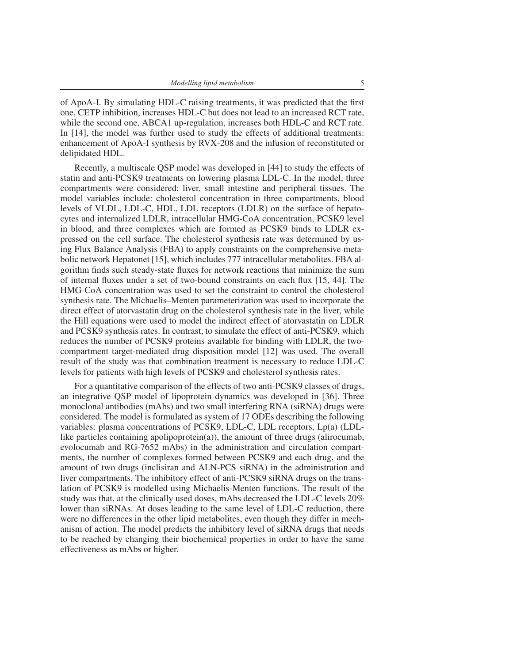of ApoA-I. By simulating HDL-C raising treatments, it was predicted that the first one, CETP inhibition, increases HDL-C but does not lead to an increased RCT rate, while the second one, ABCA1 up-regulation, increases both HDL-C and RCT rate. In [\[14\]](#page-13-4), the model was further used to study the effects of additional treatments: enhancement of ApoA-I synthesis by RVX-208 and the infusion of reconstituted or delipidated HDL.

Recently, a multiscale QSP model was developed in [\[44\]](#page-15-6) to study the effects of statin and anti-PCSK9 treatments on lowering plasma LDL-C. In the model, three compartments were considered: liver, small intestine and peripheral tissues. The model variables include: cholesterol concentration in three compartments, blood levels of VLDL, LDL-C, HDL, LDL receptors (LDLR) on the surface of hepatocytes and internalized LDLR, intracellular HMG-CoA concentration, PCSK9 level in blood, and three complexes which are formed as PCSK9 binds to LDLR expressed on the cell surface. The cholesterol synthesis rate was determined by using Flux Balance Analysis (FBA) to apply constraints on the comprehensive metabolic network Hepatonet [\[15\]](#page-13-5), which includes 777 intracellular metabolites. FBA algorithm finds such steady-state fluxes for network reactions that minimize the sum of internal fluxes under a set of two-bound constraints on each flux [\[15,](#page-13-5) [44\]](#page-15-6). The HMG-CoA concentration was used to set the constraint to control the cholesterol synthesis rate. The Michaelis–Menten parameterization was used to incorporate the direct effect of atorvastatin drug on the cholesterol synthesis rate in the liver, while the Hill equations were used to model the indirect effect of atorvastatin on LDLR and PCSK9 synthesis rates. In contrast, to simulate the effect of anti-PCSK9, which reduces the number of PCSK9 proteins available for binding with LDLR, the twocompartment target-mediated drug disposition model [\[12\]](#page-13-6) was used. The overall result of the study was that combination treatment is necessary to reduce LDL-C levels for patients with high levels of PCSK9 and cholesterol synthesis rates.

For a quantitative comparison of the effects of two anti-PCSK9 classes of drugs, an integrative QSP model of lipoprotein dynamics was developed in [\[36\]](#page-15-7). Three monoclonal antibodies (mAbs) and two small interfering RNA (siRNA) drugs were considered. The model is formulated as system of 17 ODEs describing the following variables: plasma concentrations of PCSK9, LDL-C, LDL receptors, Lp(a) (LDLlike particles containing apolipoprotein(a)), the amount of three drugs (alirocumab, evolocumab and RG-7652 mAbs) in the administration and circulation compartments, the number of complexes formed between PCSK9 and each drug, and the amount of two drugs (inclisiran and ALN-PCS siRNA) in the administration and liver compartments. The inhibitory effect of anti-PCSK9 siRNA drugs on the translation of PCSK9 is modelled using Michaelis-Menten functions. The result of the study was that, at the clinically used doses, mAbs decreased the LDL-C levels 20% lower than siRNAs. At doses leading to the same level of LDL-C reduction, there were no differences in the other lipid metabolites, even though they differ in mechanism of action. The model predicts the inhibitory level of siRNA drugs that needs to be reached by changing their biochemical properties in order to have the same effectiveness as mAbs or higher.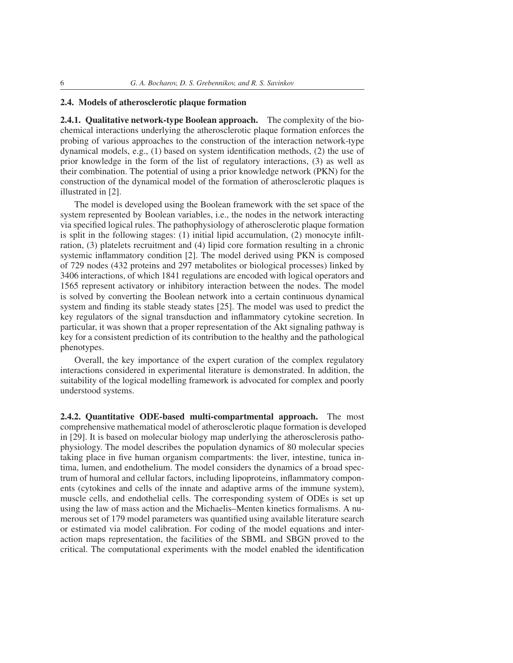## 2.4. Models of atherosclerotic plaque formation

2.4.1. Qualitative network-type Boolean approach. The complexity of the biochemical interactions underlying the atherosclerotic plaque formation enforces the probing of various approaches to the construction of the interaction network-type dynamical models, e.g., (1) based on system identification methods, (2) the use of prior knowledge in the form of the list of regulatory interactions, (3) as well as their combination. The potential of using a prior knowledge network (PKN) for the construction of the dynamical model of the formation of atherosclerotic plaques is illustrated in [\[2\]](#page-13-7).

The model is developed using the Boolean framework with the set space of the system represented by Boolean variables, i.e., the nodes in the network interacting via specified logical rules. The pathophysiology of atherosclerotic plaque formation is split in the following stages: (1) initial lipid accumulation,  $(2)$  monocyte infiltration, (3) platelets recruitment and (4) lipid core formation resulting in a chronic systemic inflammatory condition [\[2\]](#page-13-7). The model derived using PKN is composed of 729 nodes (432 proteins and 297 metabolites or biological processes) linked by 3406 interactions, of which 1841 regulations are encoded with logical operators and 1565 represent activatory or inhibitory interaction between the nodes. The model is solved by converting the Boolean network into a certain continuous dynamical system and finding its stable steady states [\[25\]](#page-14-7). The model was used to predict the key regulators of the signal transduction and inflammatory cytokine secretion. In particular, it was shown that a proper representation of the Akt signaling pathway is key for a consistent prediction of its contribution to the healthy and the pathological phenotypes.

Overall, the key importance of the expert curation of the complex regulatory interactions considered in experimental literature is demonstrated. In addition, the suitability of the logical modelling framework is advocated for complex and poorly understood systems.

2.4.2. Quantitative ODE-based multi-compartmental approach. The most comprehensive mathematical model of atherosclerotic plaque formation is developed in [\[29\]](#page-14-8). It is based on molecular biology map underlying the atherosclerosis pathophysiology. The model describes the population dynamics of 80 molecular species taking place in five human organism compartments: the liver, intestine, tunica intima, lumen, and endothelium. The model considers the dynamics of a broad spectrum of humoral and cellular factors, including lipoproteins, inflammatory components (cytokines and cells of the innate and adaptive arms of the immune system), muscle cells, and endothelial cells. The corresponding system of ODEs is set up using the law of mass action and the Michaelis–Menten kinetics formalisms. A numerous set of 179 model parameters was quantified using available literature search or estimated via model calibration. For coding of the model equations and interaction maps representation, the facilities of the SBML and SBGN proved to the critical. The computational experiments with the model enabled the identification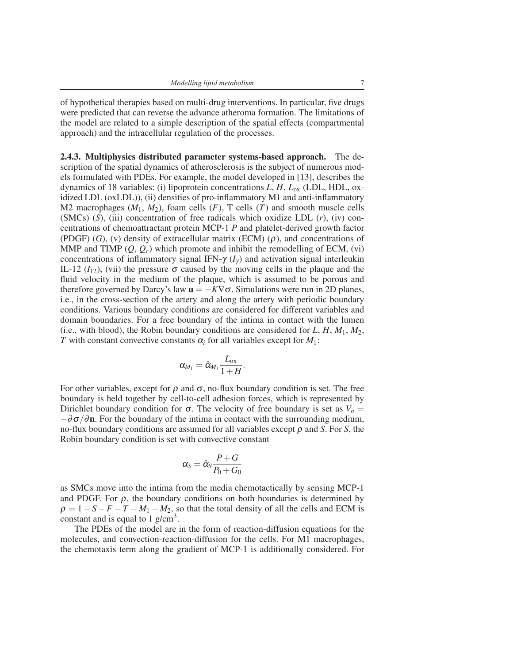of hypothetical therapies based on multi-drug interventions. In particular, five drugs were predicted that can reverse the advance atheroma formation. The limitations of the model are related to a simple description of the spatial effects (compartmental approach) and the intracellular regulation of the processes.

2.4.3. Multiphysics distributed parameter systems-based approach. The description of the spatial dynamics of atherosclerosis is the subject of numerous models formulated with PDEs. For example, the model developed in [\[13\]](#page-13-8), describes the dynamics of 18 variables: (i) lipoprotein concentrations *L*, *H*, *L*ox (LDL, HDL, oxidized LDL (oxLDL)), (ii) densities of pro-inflammatory M1 and anti-inflammatory M2 macrophages  $(M_1, M_2)$ , foam cells  $(F)$ , T cells  $(T)$  and smooth muscle cells (SMCs) (*S*), (iii) concentration of free radicals which oxidize LDL (*r*), (iv) concentrations of chemoattractant protein MCP-1 *P* and platelet-derived growth factor (PDGF) (*G*), (v) density of extracellular matrix (ECM) ( $\rho$ ), and concentrations of MMP and TIMP  $(Q, Q_r)$  which promote and inhibit the remodelling of ECM, (vi) concentrations of inflammatory signal IFN- $\gamma$  ( $I_{\gamma}$ ) and activation signal interleukin IL-12  $(I_{12})$ , (vii) the pressure  $\sigma$  caused by the moving cells in the plaque and the fluid velocity in the medium of the plaque, which is assumed to be porous and therefore governed by Darcy's law  $\mathbf{u} = -K\nabla\sigma$ . Simulations were run in 2D planes, i.e., in the cross-section of the artery and along the artery with periodic boundary conditions. Various boundary conditions are considered for different variables and domain boundaries. For a free boundary of the intima in contact with the lumen (i.e., with blood), the Robin boundary conditions are considered for  $L, H, M_1, M_2$ , *T* with constant convective constants  $\alpha_i$  for all variables except for  $M_1$ :

$$
\alpha_{\!M_1}=\hat{\alpha}_{\!M_1}\frac{L_{\rm ox}}{1+H}.
$$

For other variables, except for  $\rho$  and  $\sigma$ , no-flux boundary condition is set. The free boundary is held together by cell-to-cell adhesion forces, which is represented by Dirichlet boundary condition for  $\sigma$ . The velocity of free boundary is set as  $V_n =$  $-\partial \sigma/\partial n$ . For the boundary of the intima in contact with the surrounding medium, no-flux boundary conditions are assumed for all variables except ρ and *S*. For *S*, the Robin boundary condition is set with convective constant

$$
\alpha_S = \hat{\alpha}_S \frac{P + G}{P_0 + G_0}
$$

as SMCs move into the intima from the media chemotactically by sensing MCP-1 and PDGF. For  $\rho$ , the boundary conditions on both boundaries is determined by  $\rho = 1 - S - F - T - M_1 - M_2$ , so that the total density of all the cells and ECM is constant and is equal to 1  $g/cm<sup>3</sup>$ .

The PDEs of the model are in the form of reaction-diffusion equations for the molecules, and convection-reaction-diffusion for the cells. For M1 macrophages, the chemotaxis term along the gradient of MCP-1 is additionally considered. For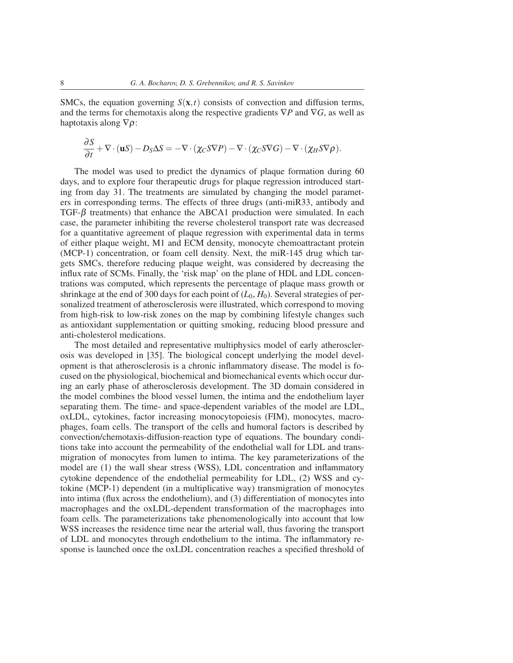SMCs, the equation governing  $S(x,t)$  consists of convection and diffusion terms, and the terms for chemotaxis along the respective gradients ∇*P* and ∇*G*, as well as haptotaxis along  $\nabla \rho$ :

$$
\frac{\partial S}{\partial t} + \nabla \cdot (\mathbf{u}S) - D_S \Delta S = -\nabla \cdot (\chi_C S \nabla P) - \nabla \cdot (\chi_C S \nabla G) - \nabla \cdot (\chi_H S \nabla \rho).
$$

The model was used to predict the dynamics of plaque formation during 60 days, and to explore four therapeutic drugs for plaque regression introduced starting from day 31. The treatments are simulated by changing the model parameters in corresponding terms. The effects of three drugs (anti-miR33, antibody and TGF- $\beta$  treatments) that enhance the ABCA1 production were simulated. In each case, the parameter inhibiting the reverse cholesterol transport rate was decreased for a quantitative agreement of plaque regression with experimental data in terms of either plaque weight, M1 and ECM density, monocyte chemoattractant protein (MCP-1) concentration, or foam cell density. Next, the miR-145 drug which targets SMCs, therefore reducing plaque weight, was considered by decreasing the influx rate of SCMs. Finally, the 'risk map' on the plane of HDL and LDL concentrations was computed, which represents the percentage of plaque mass growth or shrinkage at the end of 300 days for each point of  $(L_0, H_0)$ . Several strategies of personalized treatment of atherosclerosis were illustrated, which correspond to moving from high-risk to low-risk zones on the map by combining lifestyle changes such as antioxidant supplementation or quitting smoking, reducing blood pressure and anti-cholesterol medications.

The most detailed and representative multiphysics model of early atherosclerosis was developed in [\[35\]](#page-15-1). The biological concept underlying the model development is that atherosclerosis is a chronic inflammatory disease. The model is focused on the physiological, biochemical and biomechanical events which occur during an early phase of atherosclerosis development. The 3D domain considered in the model combines the blood vessel lumen, the intima and the endothelium layer separating them. The time- and space-dependent variables of the model are LDL, oxLDL, cytokines, factor increasing monocytopoiesis (FIM), monocytes, macrophages, foam cells. The transport of the cells and humoral factors is described by convection/chemotaxis-diffusion-reaction type of equations. The boundary conditions take into account the permeability of the endothelial wall for LDL and transmigration of monocytes from lumen to intima. The key parameterizations of the model are (1) the wall shear stress (WSS), LDL concentration and inflammatory cytokine dependence of the endothelial permeability for LDL, (2) WSS and cytokine (MCP-1) dependent (in a multiplicative way) transmigration of monocytes into intima (flux across the endothelium), and (3) differentiation of monocytes into macrophages and the oxLDL-dependent transformation of the macrophages into foam cells. The parameterizations take phenomenologically into account that low WSS increases the residence time near the arterial wall, thus favoring the transport of LDL and monocytes through endothelium to the intima. The inflammatory response is launched once the oxLDL concentration reaches a specified threshold of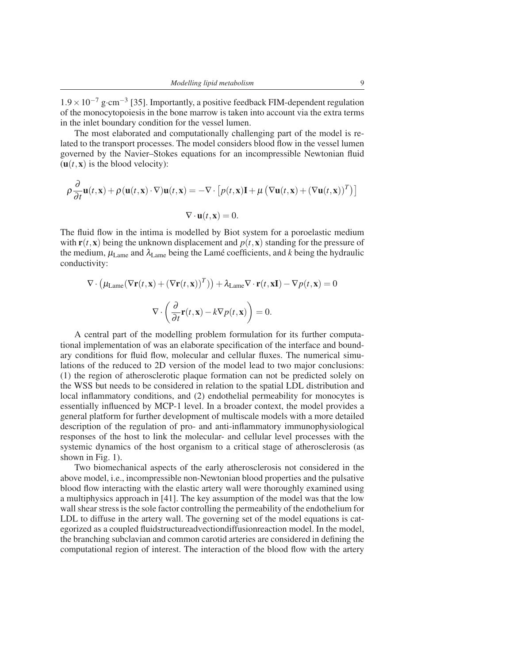$1.9 \times 10^{-7}$  g⋅cm<sup>-3</sup> [\[35\]](#page-15-1). Importantly, a positive feedback FIM-dependent regulation of the monocytopoiesis in the bone marrow is taken into account via the extra terms in the inlet boundary condition for the vessel lumen.

The most elaborated and computationally challenging part of the model is related to the transport processes. The model considers blood flow in the vessel lumen governed by the Navier–Stokes equations for an incompressible Newtonian fluid  $(u(t, x))$  is the blood velocity):

$$
\rho \frac{\partial}{\partial t} \mathbf{u}(t, \mathbf{x}) + \rho (\mathbf{u}(t, \mathbf{x}) \cdot \nabla) \mathbf{u}(t, \mathbf{x}) = -\nabla \cdot [p(t, \mathbf{x}) \mathbf{I} + \mu (\nabla \mathbf{u}(t, \mathbf{x}) + (\nabla \mathbf{u}(t, \mathbf{x}))^T)]
$$
  

$$
\nabla \cdot \mathbf{u}(t, \mathbf{x}) = 0.
$$

The fluid flow in the intima is modelled by Biot system for a poroelastic medium with  $\mathbf{r}(t, \mathbf{x})$  being the unknown displacement and  $p(t, \mathbf{x})$  standing for the pressure of the medium,  $\mu_{\text{Lame}}$  and  $\lambda_{\text{Lame}}$  being the Lame coefficients, and k being the hydraulic conductivity:

$$
\nabla \cdot (\mu_{\text{Lame}}(\nabla \mathbf{r}(t, \mathbf{x}) + (\nabla \mathbf{r}(t, \mathbf{x}))^T)) + \lambda_{\text{Lame}} \nabla \cdot \mathbf{r}(t, \mathbf{x} \mathbf{I}) - \nabla p(t, \mathbf{x}) = 0
$$

$$
\nabla \cdot \left(\frac{\partial}{\partial t} \mathbf{r}(t, \mathbf{x}) - k \nabla p(t, \mathbf{x})\right) = 0.
$$

A central part of the modelling problem formulation for its further computational implementation of was an elaborate specification of the interface and boundary conditions for fluid flow, molecular and cellular fluxes. The numerical simulations of the reduced to 2D version of the model lead to two major conclusions: (1) the region of atherosclerotic plaque formation can not be predicted solely on the WSS but needs to be considered in relation to the spatial LDL distribution and local inflammatory conditions, and (2) endothelial permeability for monocytes is essentially influenced by MCP-1 level. In a broader context, the model provides a general platform for further development of multiscale models with a more detailed description of the regulation of pro- and anti-inflammatory immunophysiological responses of the host to link the molecular- and cellular level processes with the systemic dynamics of the host organism to a critical stage of atherosclerosis (as shown in Fig. [1\)](#page-2-0).

Two biomechanical aspects of the early atherosclerosis not considered in the above model, i.e., incompressible non-Newtonian blood properties and the pulsative blood flow interacting with the elastic artery wall were thoroughly examined using a multiphysics approach in [\[41\]](#page-15-8). The key assumption of the model was that the low wall shear stress is the sole factor controlling the permeability of the endothelium for LDL to diffuse in the artery wall. The governing set of the model equations is categorized as a coupled fluidstructureadvectiondiffusionreaction model. In the model, the branching subclavian and common carotid arteries are considered in defining the computational region of interest. The interaction of the blood flow with the artery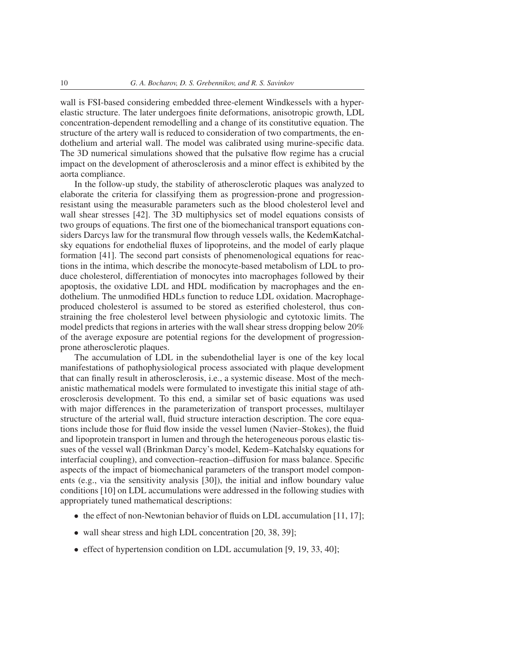wall is FSI-based considering embedded three-element Windkessels with a hyperelastic structure. The later undergoes finite deformations, anisotropic growth, LDL concentration-dependent remodelling and a change of its constitutive equation. The structure of the artery wall is reduced to consideration of two compartments, the endothelium and arterial wall. The model was calibrated using murine-specific data. The 3D numerical simulations showed that the pulsative flow regime has a crucial impact on the development of atherosclerosis and a minor effect is exhibited by the aorta compliance.

In the follow-up study, the stability of atherosclerotic plaques was analyzed to elaborate the criteria for classifying them as progression-prone and progressionresistant using the measurable parameters such as the blood cholesterol level and wall shear stresses [\[42\]](#page-15-2). The 3D multiphysics set of model equations consists of two groups of equations. The first one of the biomechanical transport equations considers Darcys law for the transmural flow through vessels walls, the KedemKatchalsky equations for endothelial fluxes of lipoproteins, and the model of early plaque formation [\[41\]](#page-15-8). The second part consists of phenomenological equations for reactions in the intima, which describe the monocyte-based metabolism of LDL to produce cholesterol, differentiation of monocytes into macrophages followed by their apoptosis, the oxidative LDL and HDL modification by macrophages and the endothelium. The unmodified HDLs function to reduce LDL oxidation. Macrophageproduced cholesterol is assumed to be stored as esterified cholesterol, thus constraining the free cholesterol level between physiologic and cytotoxic limits. The model predicts that regions in arteries with the wall shear stress dropping below 20% of the average exposure are potential regions for the development of progressionprone atherosclerotic plaques.

The accumulation of LDL in the subendothelial layer is one of the key local manifestations of pathophysiological process associated with plaque development that can finally result in atherosclerosis, i.e., a systemic disease. Most of the mechanistic mathematical models were formulated to investigate this initial stage of atherosclerosis development. To this end, a similar set of basic equations was used with major differences in the parameterization of transport processes, multilayer structure of the arterial wall, fluid structure interaction description. The core equations include those for fluid flow inside the vessel lumen (Navier–Stokes), the fluid and lipoprotein transport in lumen and through the heterogeneous porous elastic tissues of the vessel wall (Brinkman Darcy's model, Kedem–Katchalsky equations for interfacial coupling), and convection–reaction–diffusion for mass balance. Specific aspects of the impact of biomechanical parameters of the transport model components (e.g., via the sensitivity analysis [\[30\]](#page-14-9)), the initial and inflow boundary value conditions [\[10\]](#page-13-9) on LDL accumulations were addressed in the following studies with appropriately tuned mathematical descriptions:

- the effect of non-Newtonian behavior of fluids on LDL accumulation [\[11,](#page-13-10) [17\]](#page-14-10);
- wall shear stress and high LDL concentration [\[20,](#page-14-11) [38,](#page-15-9) [39\]](#page-15-10);
- effect of hypertension condition on LDL accumulation [\[9,](#page-13-11) [19,](#page-14-12) [33,](#page-14-13) [40\]](#page-15-11);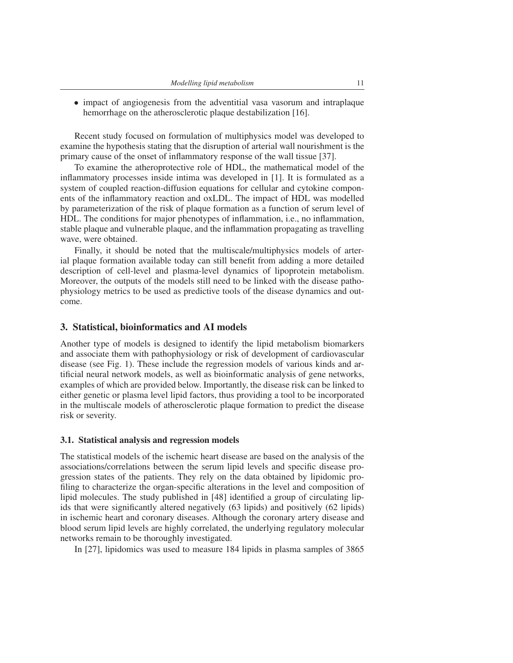• impact of angiogenesis from the adventitial vasa vasorum and intraplaque hemorrhage on the atherosclerotic plaque destabilization [\[16\]](#page-14-14).

Recent study focused on formulation of multiphysics model was developed to examine the hypothesis stating that the disruption of arterial wall nourishment is the primary cause of the onset of inflammatory response of the wall tissue [\[37\]](#page-15-12).

To examine the atheroprotective role of HDL, the mathematical model of the inflammatory processes inside intima was developed in [\[1\]](#page-13-12). It is formulated as a system of coupled reaction-diffusion equations for cellular and cytokine components of the inflammatory reaction and oxLDL. The impact of HDL was modelled by parameterization of the risk of plaque formation as a function of serum level of HDL. The conditions for major phenotypes of inflammation, i.e., no inflammation, stable plaque and vulnerable plaque, and the inflammation propagating as travelling wave, were obtained.

Finally, it should be noted that the multiscale/multiphysics models of arterial plaque formation available today can still benefit from adding a more detailed description of cell-level and plasma-level dynamics of lipoprotein metabolism. Moreover, the outputs of the models still need to be linked with the disease pathophysiology metrics to be used as predictive tools of the disease dynamics and outcome.

#### 3. Statistical, bioinformatics and AI models

Another type of models is designed to identify the lipid metabolism biomarkers and associate them with pathophysiology or risk of development of cardiovascular disease (see Fig. [1\)](#page-2-0). These include the regression models of various kinds and artificial neural network models, as well as bioinformatic analysis of gene networks, examples of which are provided below. Importantly, the disease risk can be linked to either genetic or plasma level lipid factors, thus providing a tool to be incorporated in the multiscale models of atherosclerotic plaque formation to predict the disease risk or severity.

#### 3.1. Statistical analysis and regression models

The statistical models of the ischemic heart disease are based on the analysis of the associations/correlations between the serum lipid levels and specific disease progression states of the patients. They rely on the data obtained by lipidomic profiling to characterize the organ-specific alterations in the level and composition of lipid molecules. The study published in [\[48\]](#page-15-13) identified a group of circulating lipids that were significantly altered negatively (63 lipids) and positively (62 lipids) in ischemic heart and coronary diseases. Although the coronary artery disease and blood serum lipid levels are highly correlated, the underlying regulatory molecular networks remain to be thoroughly investigated.

In [\[27\]](#page-14-15), lipidomics was used to measure 184 lipids in plasma samples of 3865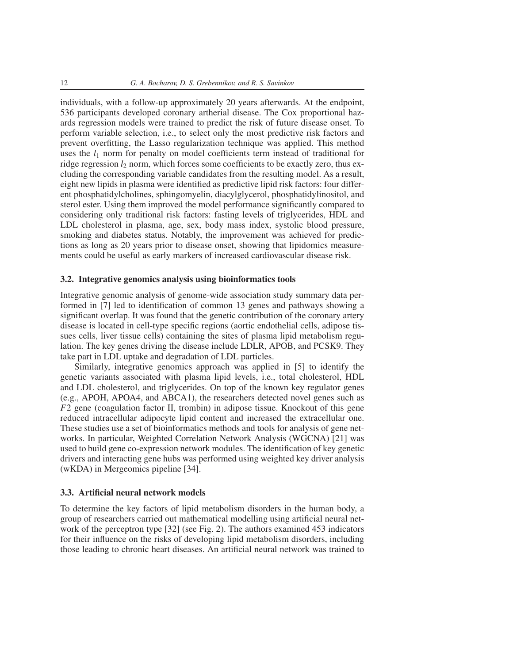individuals, with a follow-up approximately 20 years afterwards. At the endpoint, 536 participants developed coronary artherial disease. The Cox proportional hazards regression models were trained to predict the risk of future disease onset. To perform variable selection, i.e., to select only the most predictive risk factors and prevent overfitting, the Lasso regularization technique was applied. This method uses the  $l_1$  norm for penalty on model coefficients term instead of traditional for ridge regression *l*<sup>2</sup> norm, which forces some coefficients to be exactly zero, thus excluding the corresponding variable candidates from the resulting model. As a result, eight new lipids in plasma were identified as predictive lipid risk factors: four different phosphatidylcholines, sphingomyelin, diacylglycerol, phosphatidylinositol, and sterol ester. Using them improved the model performance significantly compared to considering only traditional risk factors: fasting levels of triglycerides, HDL and LDL cholesterol in plasma, age, sex, body mass index, systolic blood pressure, smoking and diabetes status. Notably, the improvement was achieved for predictions as long as 20 years prior to disease onset, showing that lipidomics measurements could be useful as early markers of increased cardiovascular disease risk.

#### 3.2. Integrative genomics analysis using bioinformatics tools

Integrative genomic analysis of genome-wide association study summary data performed in [\[7\]](#page-13-13) led to identification of common 13 genes and pathways showing a significant overlap. It was found that the genetic contribution of the coronary artery disease is located in cell-type specific regions (aortic endothelial cells, adipose tissues cells, liver tissue cells) containing the sites of plasma lipid metabolism regulation. The key genes driving the disease include LDLR, APOB, and PCSK9. They take part in LDL uptake and degradation of LDL particles.

Similarly, integrative genomics approach was applied in [\[5\]](#page-13-14) to identify the genetic variants associated with plasma lipid levels, i.e., total cholesterol, HDL and LDL cholesterol, and triglycerides. On top of the known key regulator genes (e.g., APOH, APOA4, and ABCA1), the researchers detected novel genes such as *F*2 gene (coagulation factor II, trombin) in adipose tissue. Knockout of this gene reduced intracellular adipocyte lipid content and increased the extracellular one. These studies use a set of bioinformatics methods and tools for analysis of gene networks. In particular, Weighted Correlation Network Analysis (WGCNA) [\[21\]](#page-14-16) was used to build gene co-expression network modules. The identification of key genetic drivers and interacting gene hubs was performed using weighted key driver analysis (wKDA) in Mergeomics pipeline [\[34\]](#page-15-14).

#### 3.3. Artificial neural network models

To determine the key factors of lipid metabolism disorders in the human body, a group of researchers carried out mathematical modelling using artificial neural network of the perceptron type [\[32\]](#page-14-17) (see Fig. [2\)](#page-12-0). The authors examined 453 indicators for their influence on the risks of developing lipid metabolism disorders, including those leading to chronic heart diseases. An artificial neural network was trained to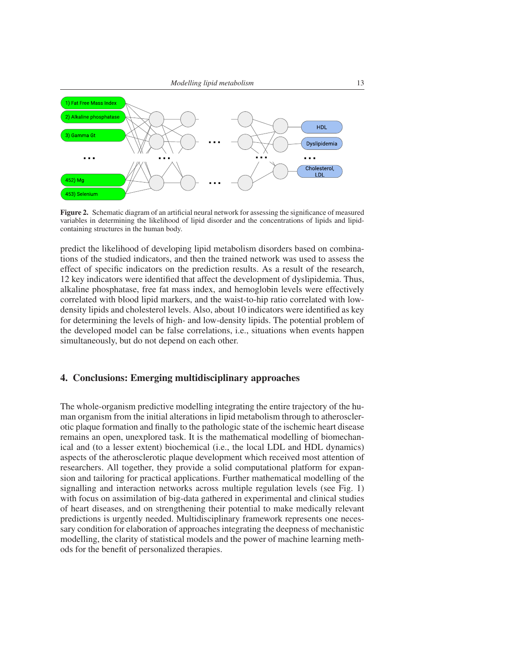

<span id="page-12-0"></span>Figure 2. Schematic diagram of an artificial neural network for assessing the significance of measured variables in determining the likelihood of lipid disorder and the concentrations of lipids and lipidcontaining structures in the human body.

predict the likelihood of developing lipid metabolism disorders based on combinations of the studied indicators, and then the trained network was used to assess the effect of specific indicators on the prediction results. As a result of the research, 12 key indicators were identified that affect the development of dyslipidemia. Thus, alkaline phosphatase, free fat mass index, and hemoglobin levels were effectively correlated with blood lipid markers, and the waist-to-hip ratio correlated with lowdensity lipids and cholesterol levels. Also, about 10 indicators were identified as key for determining the levels of high- and low-density lipids. The potential problem of the developed model can be false correlations, i.e., situations when events happen simultaneously, but do not depend on each other.

# 4. Conclusions: Emerging multidisciplinary approaches

The whole-organism predictive modelling integrating the entire trajectory of the human organism from the initial alterations in lipid metabolism through to atherosclerotic plaque formation and finally to the pathologic state of the ischemic heart disease remains an open, unexplored task. It is the mathematical modelling of biomechanical and (to a lesser extent) biochemical (i.e., the local LDL and HDL dynamics) aspects of the atherosclerotic plaque development which received most attention of researchers. All together, they provide a solid computational platform for expansion and tailoring for practical applications. Further mathematical modelling of the signalling and interaction networks across multiple regulation levels (see Fig. [1\)](#page-2-0) with focus on assimilation of big-data gathered in experimental and clinical studies of heart diseases, and on strengthening their potential to make medically relevant predictions is urgently needed. Multidisciplinary framework represents one necessary condition for elaboration of approaches integrating the deepness of mechanistic modelling, the clarity of statistical models and the power of machine learning methods for the benefit of personalized therapies.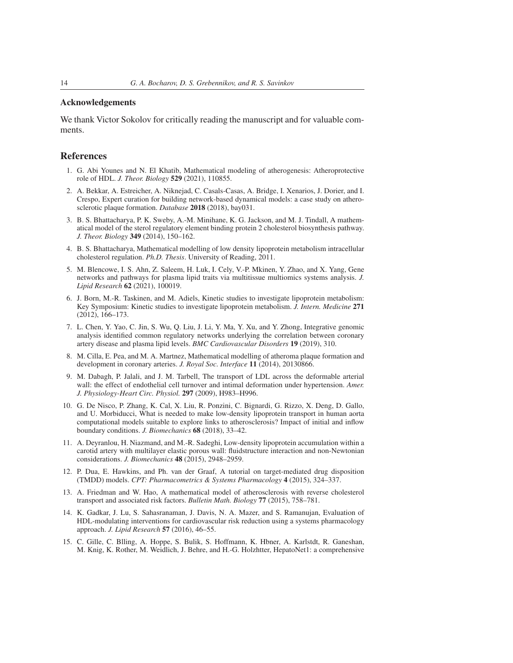# Acknowledgements

We thank Victor Sokolov for critically reading the manuscript and for valuable comments.

#### References

- <span id="page-13-12"></span>1. G. Abi Younes and N. El Khatib, Mathematical modeling of atherogenesis: Atheroprotective role of HDL. *J. Theor. Biology* 529 (2021), 110855.
- <span id="page-13-7"></span>2. A. Bekkar, A. Estreicher, A. Niknejad, C. Casals-Casas, A. Bridge, I. Xenarios, J. Dorier, and I. Crespo, Expert curation for building network-based dynamical models: a case study on atherosclerotic plaque formation. *Database* 2018 (2018), bay031.
- <span id="page-13-2"></span>3. B. S. Bhattacharya, P. K. Sweby, A.-M. Minihane, K. G. Jackson, and M. J. Tindall, A mathematical model of the sterol regulatory element binding protein 2 cholesterol biosynthesis pathway. *J. Theor. Biology* 349 (2014), 150–162.
- <span id="page-13-0"></span>4. B. S. Bhattacharya, Mathematical modelling of low density lipoprotein metabolism intracellular cholesterol regulation. *Ph.D. Thesis*. University of Reading, 2011.
- <span id="page-13-14"></span>5. M. Blencowe, I. S. Ahn, Z. Saleem, H. Luk, I. Cely, V.-P. Mkinen, Y. Zhao, and X. Yang, Gene networks and pathways for plasma lipid traits via multitissue multiomics systems analysis. *J. Lipid Research* 62 (2021), 100019.
- <span id="page-13-3"></span>6. J. Born, M.-R. Taskinen, and M. Adiels, Kinetic studies to investigate lipoprotein metabolism: Key Symposium: Kinetic studies to investigate lipoprotein metabolism. *J. Intern. Medicine* 271 (2012), 166–173.
- <span id="page-13-13"></span>7. L. Chen, Y. Yao, C. Jin, S. Wu, Q. Liu, J. Li, Y. Ma, Y. Xu, and Y. Zhong, Integrative genomic analysis identified common regulatory networks underlying the correlation between coronary artery disease and plasma lipid levels. *BMC Cardiovascular Disorders* 19 (2019), 310.
- <span id="page-13-1"></span>8. M. Cilla, E. Pea, and M. A. Martnez, Mathematical modelling of atheroma plaque formation and development in coronary arteries. *J. Royal Soc. Interface* 11 (2014), 20130866.
- <span id="page-13-11"></span>9. M. Dabagh, P. Jalali, and J. M. Tarbell, The transport of LDL across the deformable arterial wall: the effect of endothelial cell turnover and intimal deformation under hypertension. *Amer. J. Physiology-Heart Circ. Physiol.* 297 (2009), H983–H996.
- <span id="page-13-9"></span>10. G. De Nisco, P. Zhang, K. Cal, X. Liu, R. Ponzini, C. Bignardi, G. Rizzo, X. Deng, D. Gallo, and U. Morbiducci, What is needed to make low-density lipoprotein transport in human aorta computational models suitable to explore links to atherosclerosis? Impact of initial and inflow boundary conditions. *J. Biomechanics* 68 (2018), 33–42.
- <span id="page-13-10"></span>11. A. Deyranlou, H. Niazmand, and M.-R. Sadeghi, Low-density lipoprotein accumulation within a carotid artery with multilayer elastic porous wall: fluidstructure interaction and non-Newtonian considerations. *J. Biomechanics* 48 (2015), 2948–2959.
- <span id="page-13-6"></span>12. P. Dua, E. Hawkins, and Ph. van der Graaf, A tutorial on target-mediated drug disposition (TMDD) models. *CPT: Pharmacometrics & Systems Pharmacology* 4 (2015), 324–337.
- <span id="page-13-8"></span>13. A. Friedman and W. Hao, A mathematical model of atherosclerosis with reverse cholesterol transport and associated risk factors. *Bulletin Math. Biology* 77 (2015), 758–781.
- <span id="page-13-4"></span>14. K. Gadkar, J. Lu, S. Sahasranaman, J. Davis, N. A. Mazer, and S. Ramanujan, Evaluation of HDL-modulating interventions for cardiovascular risk reduction using a systems pharmacology approach. *J. Lipid Research* 57 (2016), 46–55.
- <span id="page-13-5"></span>15. C. Gille, C. Blling, A. Hoppe, S. Bulik, S. Hoffmann, K. Hbner, A. Karlstdt, R. Ganeshan, M. Knig, K. Rother, M. Weidlich, J. Behre, and H.-G. Holzhtter, HepatoNet1: a comprehensive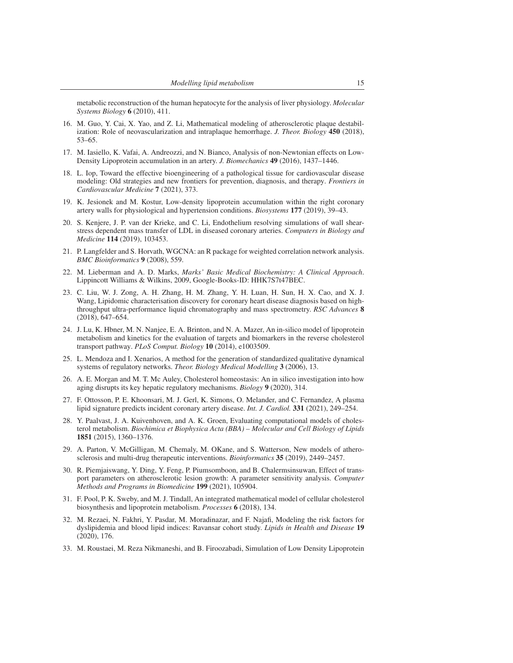metabolic reconstruction of the human hepatocyte for the analysis of liver physiology. *Molecular Systems Biology* 6 (2010), 411.

- <span id="page-14-14"></span>16. M. Guo, Y. Cai, X. Yao, and Z. Li, Mathematical modeling of atherosclerotic plaque destabilization: Role of neovascularization and intraplaque hemorrhage. *J. Theor. Biology* 450 (2018), 53–65.
- <span id="page-14-10"></span>17. M. Iasiello, K. Vafai, A. Andreozzi, and N. Bianco, Analysis of non-Newtonian effects on Low-Density Lipoprotein accumulation in an artery. *J. Biomechanics* 49 (2016), 1437–1446.
- <span id="page-14-0"></span>18. L. Iop, Toward the effective bioengineering of a pathological tissue for cardiovascular disease modeling: Old strategies and new frontiers for prevention, diagnosis, and therapy. *Frontiers in Cardiovascular Medicine* 7 (2021), 373.
- <span id="page-14-12"></span>19. K. Jesionek and M. Kostur, Low-density lipoprotein accumulation within the right coronary artery walls for physiological and hypertension conditions. *Biosystems* 177 (2019), 39–43.
- <span id="page-14-11"></span>20. S. Kenjere, J. P. van der Krieke, and C. Li, Endothelium resolving simulations of wall shearstress dependent mass transfer of LDL in diseased coronary arteries. *Computers in Biology and Medicine* 114 (2019), 103453.
- <span id="page-14-16"></span>21. P. Langfelder and S. Horvath, WGCNA: an R package for weighted correlation network analysis. *BMC Bioinformatics* 9 (2008), 559.
- <span id="page-14-1"></span>22. M. Lieberman and A. D. Marks, *Marks' Basic Medical Biochemistry: A Clinical Approach*. Lippincott Williams & Wilkins, 2009, Google-Books-ID: HHK7S7t47BEC.
- <span id="page-14-3"></span>23. C. Liu, W. J. Zong, A. H. Zhang, H. M. Zhang, Y. H. Luan, H. Sun, H. X. Cao, and X. J. Wang, Lipidomic characterisation discovery for coronary heart disease diagnosis based on highthroughput ultra-performance liquid chromatography and mass spectrometry. *RSC Advances* 8 (2018), 647–654.
- <span id="page-14-2"></span>24. J. Lu, K. Hbner, M. N. Nanjee, E. A. Brinton, and N. A. Mazer, An in-silico model of lipoprotein metabolism and kinetics for the evaluation of targets and biomarkers in the reverse cholesterol transport pathway. *PLoS Comput. Biology* 10 (2014), e1003509.
- <span id="page-14-7"></span>25. L. Mendoza and I. Xenarios, A method for the generation of standardized qualitative dynamical systems of regulatory networks. *Theor. Biology Medical Modelling* 3 (2006), 13.
- <span id="page-14-6"></span>26. A. E. Morgan and M. T. Mc Auley, Cholesterol homeostasis: An in silico investigation into how aging disrupts its key hepatic regulatory mechanisms. *Biology* 9 (2020), 314.
- <span id="page-14-15"></span>27. F. Ottosson, P. E. Khoonsari, M. J. Gerl, K. Simons, O. Melander, and C. Fernandez, A plasma lipid signature predicts incident coronary artery disease. *Int. J. Cardiol.* 331 (2021), 249–254.
- <span id="page-14-5"></span>28. Y. Paalvast, J. A. Kuivenhoven, and A. K. Groen, Evaluating computational models of cholesterol metabolism. *Biochimica et Biophysica Acta (BBA) – Molecular and Cell Biology of Lipids* 1851 (2015), 1360–1376.
- <span id="page-14-8"></span>29. A. Parton, V. McGilligan, M. Chemaly, M. OKane, and S. Watterson, New models of atherosclerosis and multi-drug therapeutic interventions. *Bioinformatics* 35 (2019), 2449–2457.
- <span id="page-14-9"></span>30. R. Piemjaiswang, Y. Ding, Y. Feng, P. Piumsomboon, and B. Chalermsinsuwan, Effect of transport parameters on atherosclerotic lesion growth: A parameter sensitivity analysis. *Computer Methods and Programs in Biomedicine* 199 (2021), 105904.
- <span id="page-14-4"></span>31. F. Pool, P. K. Sweby, and M. J. Tindall, An integrated mathematical model of cellular cholesterol biosynthesis and lipoprotein metabolism. *Processes* 6 (2018), 134.
- <span id="page-14-17"></span>32. M. Rezaei, N. Fakhri, Y. Pasdar, M. Moradinazar, and F. Najafi, Modeling the risk factors for dyslipidemia and blood lipid indices: Ravansar cohort study. *Lipids in Health and Disease* 19 (2020), 176.
- <span id="page-14-13"></span>33. M. Roustaei, M. Reza Nikmaneshi, and B. Firoozabadi, Simulation of Low Density Lipoprotein